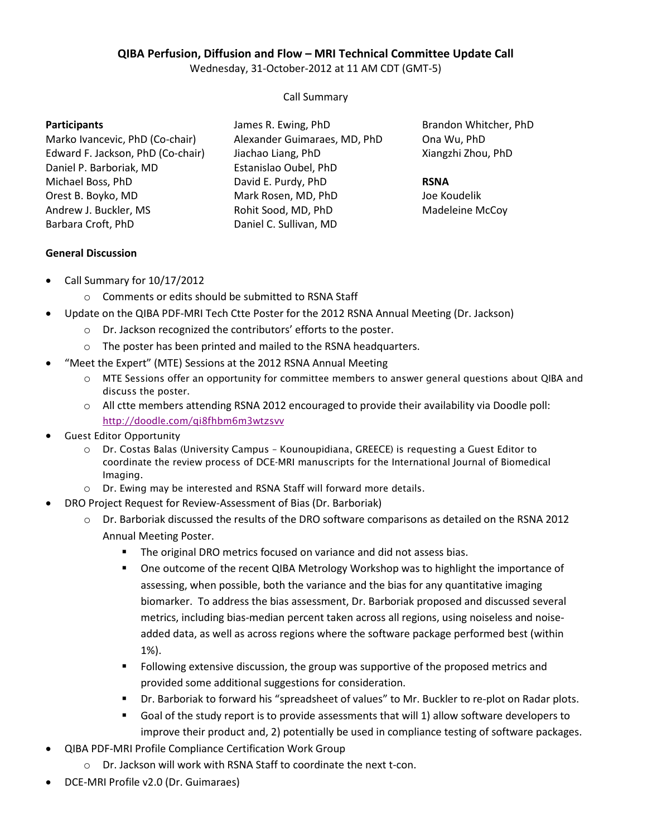## **QIBA Perfusion, Diffusion and Flow – MRI Technical Committee Update Call**

Wednesday, 31-October-2012 at 11 AM CDT (GMT-5)

Call Summary

#### **Participants**

Marko Ivancevic, PhD (Co-chair) Edward F. Jackson, PhD (Co-chair) Daniel P. Barboriak, MD Michael Boss, PhD Orest B. Boyko, MD Andrew J. Buckler, MS Barbara Croft, PhD

James R. Ewing, PhD Alexander Guimaraes, MD, PhD Jiachao Liang, PhD Estanislao Oubel, PhD David E. Purdy, PhD Mark Rosen, MD, PhD Rohit Sood, MD, PhD Daniel C. Sullivan, MD

Brandon Whitcher, PhD Ona Wu, PhD Xiangzhi Zhou, PhD

#### **RSNA**

Joe Koudelik Madeleine McCoy

## **General Discussion**

- Call Summary for 10/17/2012
	- o Comments or edits should be submitted to RSNA Staff
- Update on the QIBA PDF-MRI Tech Ctte Poster for the 2012 RSNA Annual Meeting (Dr. Jackson)
	- o Dr. Jackson recognized the contributors' efforts to the poster.
	- o The poster has been printed and mailed to the RSNA headquarters.
- "Meet the Expert" (MTE) Sessions at the 2012 RSNA Annual Meeting
	- o *MTE Sessions offer an opportunity for committee members to answer general questions about QIBA and discuss the poster.*
	- o All ctte members attending RSNA 2012 encouraged to provide their availability via Doodle poll: *http://doodle.com/qi8fhbm6m3wtzsvv*
- *Guest Editor Opportunity*
	- o *Dr. Costas Balas (University Campus Kounoupidiana, GREECE) is requesting a Guest Editor to coordinate the review process of DCE-MRI manuscripts for the International Journal of Biomedical Imaging.*
	- o *Dr. Ewing may be interested and RSNA Staff will forward more details.*
	- DRO Project Request for Review-Assessment of Bias (Dr. Barboriak)
		- $\circ$  Dr. Barboriak discussed the results of the DRO software comparisons as detailed on the RSNA 2012 Annual Meeting Poster.
			- **The original DRO metrics focused on variance and did not assess bias.**
			- One outcome of the recent QIBA Metrology Workshop was to highlight the importance of assessing, when possible, both the variance and the bias for any quantitative imaging biomarker. To address the bias assessment, Dr. Barboriak proposed and discussed several metrics, including bias-median percent taken across all regions, using noiseless and noiseadded data, as well as across regions where the software package performed best (within 1%).
			- **FILLO** Following extensive discussion, the group was supportive of the proposed metrics and provided some additional suggestions for consideration.
			- Dr. Barboriak to forward his "spreadsheet of values" to Mr. Buckler to re-plot on Radar plots.
			- Goal of the study report is to provide assessments that will 1) allow software developers to improve their product and, 2) potentially be used in compliance testing of software packages.
- QIBA PDF-MRI Profile Compliance Certification Work Group
	- o Dr. Jackson will work with RSNA Staff to coordinate the next t-con.
- DCE-MRI Profile v2.0 (Dr. Guimaraes)